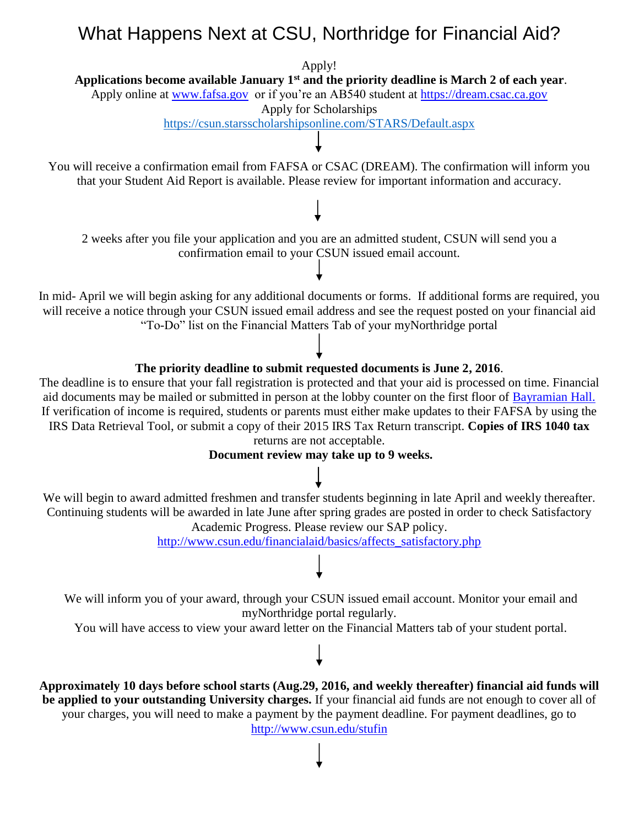# What Happens Next at CSU, Northridge for Financial Aid?

Apply!

**Applications become available January 1st and the priority deadline is March 2 of each year**.

Apply online at [www.fafsa.gov](http://www.fafsa.gov/) or if you're an AB540 student at [https://dream.csac.ca.gov](https://dream.csac.ca.gov/) 

Apply for Scholarships

<https://csun.starsscholarshipsonline.com/STARS/Default.aspx>

You will receive a confirmation email from FAFSA or CSAC (DREAM). The confirmation will inform you that your Student Aid Report is available. Please review for important information and accuracy.

2 weeks after you file your application and you are an admitted student, CSUN will send you a confirmation email to your CSUN issued email account.

In mid- April we will begin asking for any additional documents or forms. If additional forms are required, you will receive a notice through your CSUN issued email address and see the request posted on your financial aid "To-Do" list on the Financial Matters Tab of your myNorthridge portal

## **The priority deadline to submit requested documents is June 2, 2016**.

The deadline is to ensure that your fall registration is protected and that your aid is processed on time. Financial aid documents may be mailed or submitted in person at the lobby counter on the first floor of [Bayramian Hall.](http://www.csun.edu/csun-maps) If verification of income is required, students or parents must either make updates to their FAFSA by using the IRS Data Retrieval Tool, or submit a copy of their 2015 IRS Tax Return transcript. **Copies of IRS 1040 tax** 

returns are not acceptable.

**Document review may take up to 9 weeks.** 

We will begin to award admitted freshmen and transfer students beginning in late April and weekly thereafter. Continuing students will be awarded in late June after spring grades are posted in order to check Satisfactory Academic Progress. Please review our SAP policy.

[http://www.csun.edu/financialaid/basics/affects\\_satisfactory.php](http://www.csun.edu/financialaid/basics/affects_satisfactory.php)

We will inform you of your award, through your CSUN issued email account. Monitor your email and myNorthridge portal regularly.

You will have access to view your award letter on the Financial Matters tab of your student portal.

**Approximately 10 days before school starts (Aug.29, 2016, and weekly thereafter) financial aid funds will be applied to your outstanding University charges.** If your financial aid funds are not enough to cover all of your charges, you will need to make a payment by the payment deadline. For payment deadlines, go to <http://www.csun.edu/stufin>